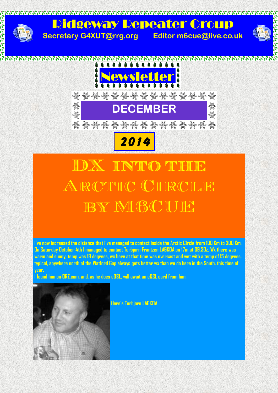

## **IX INTO THE** ARCTIC CIRCLE BY M60UE

**I've now increased the distance that I've managed to contact inside the Arctic Circle from 100 Km to 300 Km. On Saturday October 4th I managed to contact Torbjorn Frantzen LA6KOA on 17m at 09.30z. Wx there was warm and sunny, temp was 19 degrees, wx here at that time was overcast and wet with a temp of 15 degrees, typical, anywhere north of the Watford Gap always gets better wx than we do here in the South, this time of year.**

**I found him on QRZ.com, and, as he does eQSL, will await an eQSL card from him,** 



**Here's Torbjorn LA6KOA**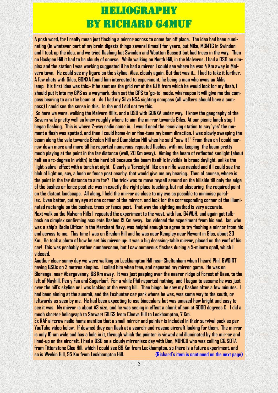#### Heliography By Richard G4MUF

**A posh word, for I really mean just flashing a mirror across to some far off place. The idea had been ruminating (in whatever part of my brain digests things several times!) for years, but Mike, M3MTG in Swindon and I took up the idea, and we tried flashing but Swindon and Wootton Bassett but had trees in the way. Then on Hackpen Hill it had to be cloudy of course. While walking on North Hill, in the Malverns, I had a QSO on simplex and the station I was working suggested if he had a mirror I could see where he was 4 Km away in Malvern town. He could see my figure on the skyline. Alas, cloudy again. But that was it... I had to take it further. A few chats with Giles, G0NXA found him interested to experiment, he being a man who owns an Aldis lamp. His first idea was this:- if he sent me the grid ref of the QTH from which he would look for my flash, I should put it into my GPS as a waymark, then set the GPS to 'go-to' mode, whereupon it will give me the compass bearing to aim the beam at. As I had my Silva N54 sighting compass (all walkers should have a compass) I could see the sense in this. In the end I did not try this.**

**So here we were, walking the Malvern Hills, and a QSO with G0NXA under way. I know the geography of the Severn vale pretty well so knew roughly where to aim the mirror towards Giles. At our picnic lunch stop I began flashing. This is where 2-way radio came in. I would need the receiving station to say 'yes' the moment a flash was spotted, and then I could home-in or fine-tune my beam direction. I was slowly sweeping the beam along the vale towards Bredon Hill and Dumbleton Hill when he said "saw it !" From then on I could narrow down more and more till he reported numerous repeated flashes, with me keeping the beam pretty much playing at the point in the far distance (well, 20 Km away). Aiming the beam of reflected sunlight (about half an arc-degree in width) is the hard bit because the beam itself is invisible in broad daylight, unlike the 'light-sabre' effect with a torch at night. Clearly a 'foresight' like on a rifle was needed and if I could see the blob of light on, say, a bush or fence post nearby, that would give me my bearing. Then of course, where is the point in the far distance to aim for? The trick was to move myself around on the hillside till only the edge of the bushes or fence post etc was in exactly the right place touching, but not obscuring, the required point on the distant landscape. All along, I held the mirror as close to my eye as possible to minimise parallax. Even better, put my eye at one corner of the mirror, and look for the corresponding corner of the illuminated rectangle on the bushes, trees or fence post. That way the sighting method is very accurate. Next walk on the Malvern Hills I repeated the experiment to the west, with Ian, G4WUH, and again got talkback on simplex confirming accurate flashes 15 Km away. Ian videoed the experiment from his end. Ian, who was a ship's Radio Officer in the Merchant Navy, was helpful enough to agree to try flashing a mirror from his end across to me. This time I was on Bredon Hill and he was near Kempley near Newent in Glos, about 20 Km. He took a photo of how he set his mirror up: it was a big dressing-table mirror, placed on the roof of his car! This was probably rather cumbersome, but I saw numerous flashes during a 5-minute spell, which I videoed.**

**Another clear sunny day we were walking on Leckhampton Hill near Cheltenham when I heard Phil, GW0IRT having QSOs on 2 metres simplex. I called him when free, and repeated my mirror game. He was on Blorenge, near Abergavenny, 68 Km away. It was just peeping over the nearer ridge of Forest of Dean, to the left of Mayhill, Pen y Fan and Sugarloaf. For a while Phil reported nothing, and I began to assume he was just over the hill's skyline or I was looking at the wrong hill. Then bingo, he saw my flashes after a few minutes. I had been aiming at the summit, and the Foxhunter car park where he was, was some way to the south, or leftwards as seen by me. He had been expecting to use binoculars but was amazed how bright and easy to see it was. My mirror is about A3 size, and he was seeing in effect a chunk of sun at 6000 degrees C. I did a much shorter heliograph to Stewart G1LGS from Cleeve Hill to Leckhampton, 7 Km.**

**Ex RAF aircrew radio hams mention that a small mirror and pointer is included in their survival pack as per YouTube video below. If downed they can flash at a search-and-rescue aircraft looking for them. The mirror is only 10 cm wide and has a hole in it, through which the pointer is viewed and illuminated by the mirror and lined-up on the aircraft. I had a QSO on a cloudy mirrorless day with Don, M0HCU who was calling CQ SOTA from Titterstone Clee Hill, which I could see 69 Km from Leckhampton, so there is a future experiment, and so is Wrekin Hill, 95 Km from Leckhampton Hill. (Richard's item is continued on the next page)**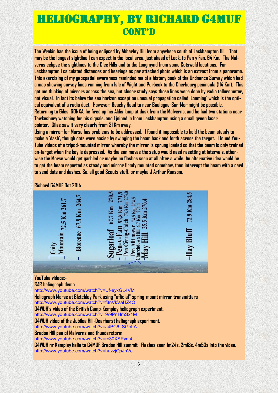### Heliography, By Richard G4MUF **CONT'D**

**The Wrekin has the issue of being eclipsed by Abberley Hill from anywhere south of Leckhampton Hill. That may be the longest sightline I can expect in the local area, just ahead of Leck. to Pen y Fan, 94 Km. The Malverns eclipse the sightlines to the Clee Hills and to the Longmynd from some Cotswold locations. For Leckhampton I calculated distances and bearings as per attached photo which is an extract from a panorama. This exercising of my geospatial awareness reminded me of a history book of the Ordnance Survey which had a map showing survey lines running from Isle of Wight and Purbeck to the Cherbourg peninsula (114 Km). This got me thinking of mirrors across the sea, but closer study says those lines were done by radio tellurometer, not visual. In fact its below the sea horizon except on unusual propagation called 'Looming' which is the optical equivalent of a radio duct. However, Beachy Head to near Boulogne-Sur-Mer might be possible. Returning to Giles, G0NXA, he fired up his Aldis lamp at dusk from the Malverns, and he had two stations near Tewkesbury watching for his signals, and I joined in from Leckhampton using a small green laser pointer. Giles saw it very clearly from 31 Km away.**

**Using a mirror for Morse has problems to be addressed. I found it impossible to hold the beam steady to make a 'dash', though dots were easier by swinging the beam back and forth across the target. I found You-Tube videos of a tripod-mounted mirror whereby the mirror is sprung loaded so that the beam is only trained on-target when the key is depressed. As the sun moves the setup would need resetting at intervals, otherwise the Morse would get garbled or maybe no flashes seen at all after a while. An alternative idea would be to get the beam reported as steady and mirror firmly mounted somehow, then interrupt the beam with a card to send dots and dashes. So, all good Scouts stuff, or maybe J Arthur Ransom.**

#### **Richard G4MUF Oct 2014**



**YouTube videos:-**

**SAR heliograph demo**

<http://www.youtube.com/watch?v=Uf-eykGL4VM>

**Heliograph Morse at Bletchley Park using "official" spring-mount mirror transmitters** <http://www.youtube.com/watch?v=f8nVkVaHZ4Q>

**G4WUH's video of the British Camp-Kempley heliograph experiment.**

<http://www.youtube.com/watch?v=9r9PnHmSx1M>

**G4WUH video of the Jubilee Hill-Deerhurst heliograph experiment.**

[http://www.youtube.com/watch?v=J4PC6\\_SGoLA](http://www.youtube.com/watch?v=J4PC6_SGoLA)

**Bredon Hill pan of Malverns and thunderstorm**

<http://www.youtube.com/watch?v=rc30XSPydj4>

**G4WUH nr Kempley helio to G4MUF Bredon Hill summit. Flashes seen 1m24s, 2m18s, 4m53s into the video.** <http://www.youtube.com/watch?v=huzzjQsJhVc>